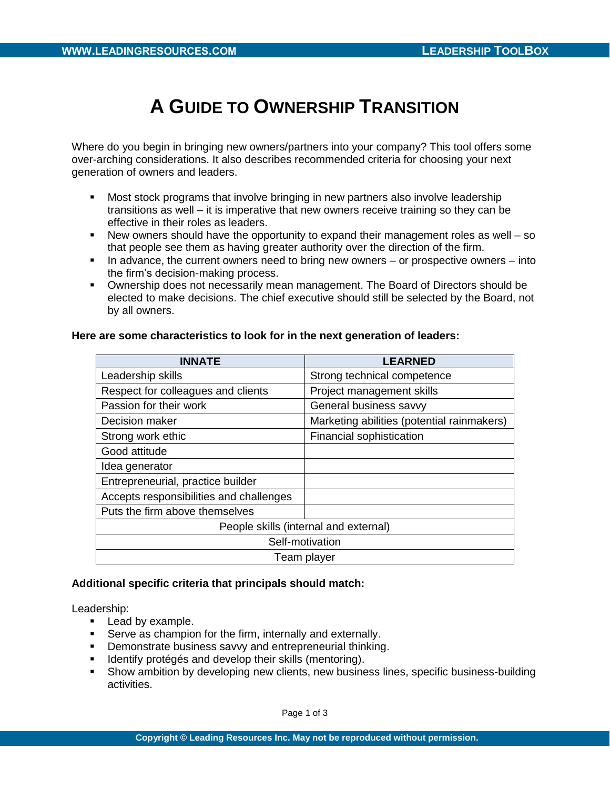# **A GUIDE TO OWNERSHIP TRANSITION**

Where do you begin in bringing new owners/partners into your company? This tool offers some over-arching considerations. It also describes recommended criteria for choosing your next generation of owners and leaders.

- **Most stock programs that involve bringing in new partners also involve leadership** transitions as well – it is imperative that new owners receive training so they can be effective in their roles as leaders.
- New owners should have the opportunity to expand their management roles as well so that people see them as having greater authority over the direction of the firm.
- In advance, the current owners need to bring new owners  $-$  or prospective owners  $-$  into the firm's decision-making process.
- Ownership does not necessarily mean management. The Board of Directors should be elected to make decisions. The chief executive should still be selected by the Board, not by all owners.

| <b>INNATE</b>                           | <b>LEARNED</b>                             |  |  |
|-----------------------------------------|--------------------------------------------|--|--|
| Leadership skills                       | Strong technical competence                |  |  |
| Respect for colleagues and clients      | Project management skills                  |  |  |
| Passion for their work                  | General business savvy                     |  |  |
| Decision maker                          | Marketing abilities (potential rainmakers) |  |  |
| Strong work ethic                       | Financial sophistication                   |  |  |
| Good attitude                           |                                            |  |  |
| Idea generator                          |                                            |  |  |
| Entrepreneurial, practice builder       |                                            |  |  |
| Accepts responsibilities and challenges |                                            |  |  |
| Puts the firm above themselves          |                                            |  |  |
| People skills (internal and external)   |                                            |  |  |
| Self-motivation                         |                                            |  |  |
| Team player                             |                                            |  |  |

# **Here are some characteristics to look for in the next generation of leaders:**

# **Additional specific criteria that principals should match:**

Leadership:

- **Lead by example.**
- **Serve as champion for the firm, internally and externally.**
- **•** Demonstrate business savvy and entrepreneurial thinking.
- Identify protégés and develop their skills (mentoring).
- Show ambition by developing new clients, new business lines, specific business-building activities.

Page 1 of 3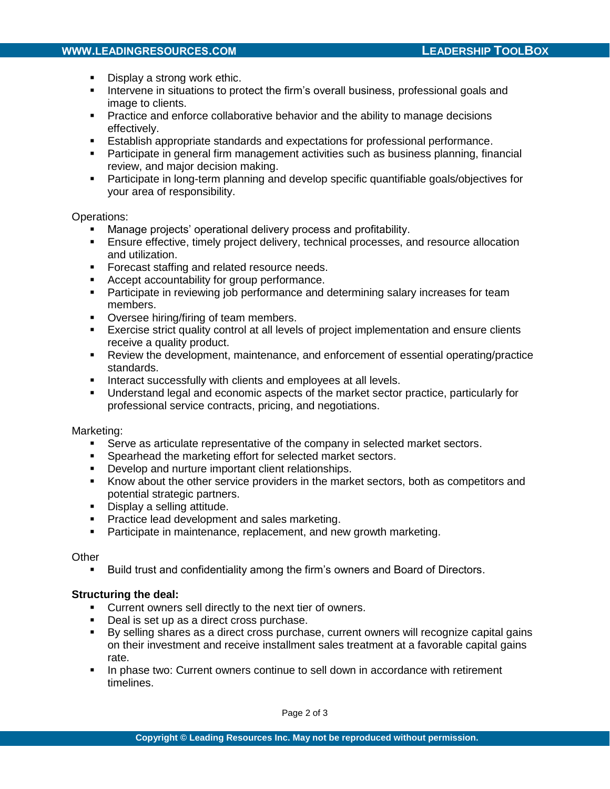# **WWW.LEADINGRESOURCES.COM LEADERSHIP TOOLBOX**

- Display a strong work ethic.
- Intervene in situations to protect the firm's overall business, professional goals and image to clients.
- **Practice and enforce collaborative behavior and the ability to manage decisions** effectively.
- Establish appropriate standards and expectations for professional performance.
- Participate in general firm management activities such as business planning, financial review, and major decision making.
- Participate in long-term planning and develop specific quantifiable goals/objectives for your area of responsibility.

## Operations:

- Manage projects' operational delivery process and profitability.
- Ensure effective, timely project delivery, technical processes, and resource allocation and utilization.
- **Forecast staffing and related resource needs.**
- **Accept accountability for group performance.**
- **Participate in reviewing job performance and determining salary increases for team** members.
- **•** Oversee hiring/firing of team members.
- Exercise strict quality control at all levels of project implementation and ensure clients receive a quality product.
- Review the development, maintenance, and enforcement of essential operating/practice standards.
- **Interact successfully with clients and employees at all levels.**
- Understand legal and economic aspects of the market sector practice, particularly for professional service contracts, pricing, and negotiations.

#### Marketing:

- Serve as articulate representative of the company in selected market sectors.
- **Spearhead the marketing effort for selected market sectors.**
- **Develop and nurture important client relationships.**
- Know about the other service providers in the market sectors, both as competitors and potential strategic partners.
- **Display a selling attitude.**
- **Practice lead development and sales marketing.**
- **Participate in maintenance, replacement, and new growth marketing.**

#### **Other**

Build trust and confidentiality among the firm's owners and Board of Directors.

# **Structuring the deal:**

- **Current owners sell directly to the next tier of owners.**
- Deal is set up as a direct cross purchase.
- By selling shares as a direct cross purchase, current owners will recognize capital gains on their investment and receive installment sales treatment at a favorable capital gains rate.
- **IF** In phase two: Current owners continue to sell down in accordance with retirement timelines.

Page 2 of 3